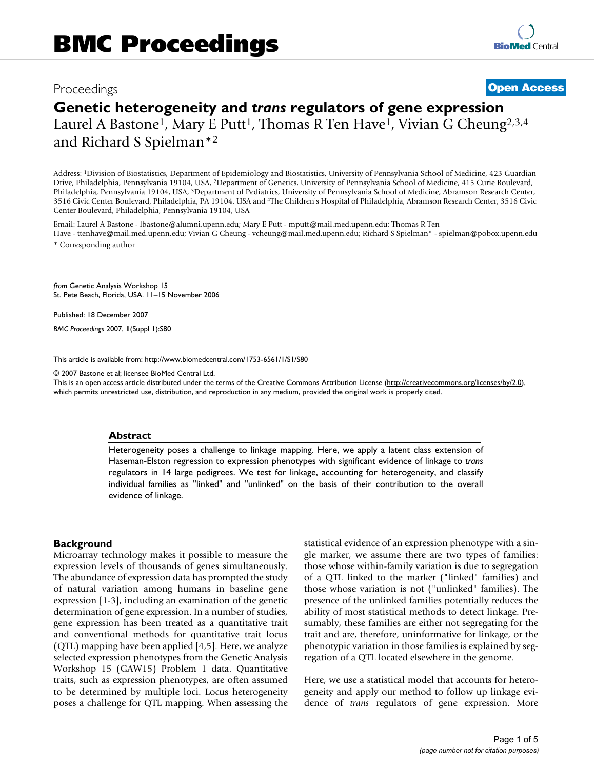# Proceedings **[Open Access](http://www.biomedcentral.com/info/about/charter/)**

# **Genetic heterogeneity and** *trans* **regulators of gene expression** Laurel A Bastone<sup>1</sup>, Mary E Putt<sup>1</sup>, Thomas R Ten Have<sup>1</sup>, Vivian G Cheung<sup>2,3,4</sup> and Richard S Spielman\*2

Address: 1Division of Biostatistics, Department of Epidemiology and Biostatistics, University of Pennsylvania School of Medicine, 423 Guardian Drive, Philadelphia, Pennsylvania 19104, USA, 2Department of Genetics, University of Pennsylvania School of Medicine, 415 Curie Boulevard, Philadelphia, Pennsylvania 19104, USA, 3Department of Pediatrics, University of Pennsylvania School of Medicine, Abramson Research Center, 3516 Civic Center Boulevard, Philadelphia, PA 19104, USA and 4The Children's Hospital of Philadelphia, Abramson Research Center, 3516 Civic Center Boulevard, Philadelphia, Pennsylvania 19104, USA

Email: Laurel A Bastone - lbastone@alumni.upenn.edu; Mary E Putt - mputt@mail.med.upenn.edu; Thomas R Ten Have - ttenhave@mail.med.upenn.edu; Vivian G Cheung - vcheung@mail.med.upenn.edu; Richard S Spielman\* - spielman@pobox.upenn.edu

\* Corresponding author

*from* Genetic Analysis Workshop 15 St. Pete Beach, Florida, USA. 11–15 November 2006

Published: 18 December 2007

*BMC Proceedings* 2007, **1**(Suppl 1):S80

[This article is available from: http://www.biomedcentral.com/1753-6561/1/S1/S80](http://www.biomedcentral.com/1753-6561/1/S1/S80)

© 2007 Bastone et al; licensee BioMed Central Ltd.

This is an open access article distributed under the terms of the Creative Commons Attribution License [\(http://creativecommons.org/licenses/by/2.0\)](http://creativecommons.org/licenses/by/2.0), which permits unrestricted use, distribution, and reproduction in any medium, provided the original work is properly cited.

#### **Abstract**

Heterogeneity poses a challenge to linkage mapping. Here, we apply a latent class extension of Haseman-Elston regression to expression phenotypes with significant evidence of linkage to *trans* regulators in 14 large pedigrees. We test for linkage, accounting for heterogeneity, and classify individual families as "linked" and "unlinked" on the basis of their contribution to the overall evidence of linkage.

#### **Background**

Microarray technology makes it possible to measure the expression levels of thousands of genes simultaneously. The abundance of expression data has prompted the study of natural variation among humans in baseline gene expression [1-3], including an examination of the genetic determination of gene expression. In a number of studies, gene expression has been treated as a quantitative trait and conventional methods for quantitative trait locus (QTL) mapping have been applied [4,5]. Here, we analyze selected expression phenotypes from the Genetic Analysis Workshop 15 (GAW15) Problem 1 data. Quantitative traits, such as expression phenotypes, are often assumed to be determined by multiple loci. Locus heterogeneity poses a challenge for QTL mapping. When assessing the statistical evidence of an expression phenotype with a single marker, we assume there are two types of families: those whose within-family variation is due to segregation of a QTL linked to the marker ("linked" families) and those whose variation is not ("unlinked" families). The presence of the unlinked families potentially reduces the ability of most statistical methods to detect linkage. Presumably, these families are either not segregating for the trait and are, therefore, uninformative for linkage, or the phenotypic variation in those families is explained by segregation of a QTL located elsewhere in the genome.

Here, we use a statistical model that accounts for heterogeneity and apply our method to follow up linkage evidence of *trans* regulators of gene expression. More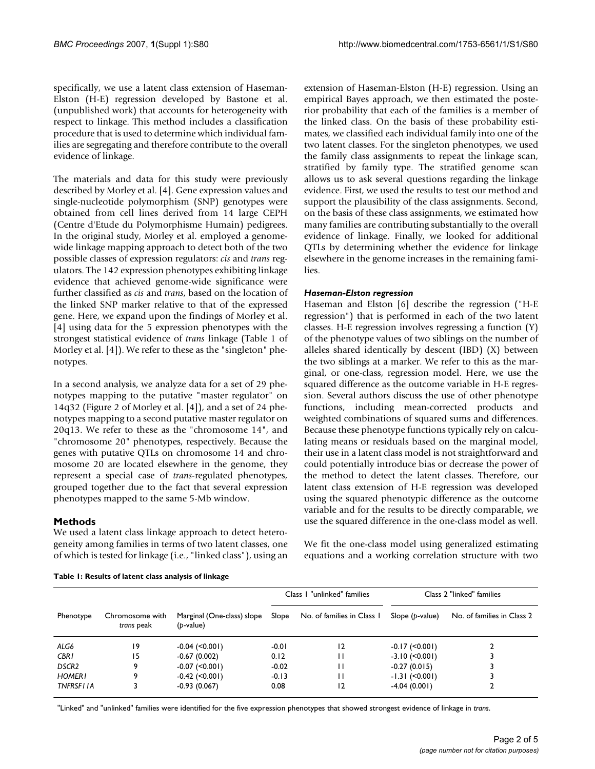specifically, we use a latent class extension of Haseman-Elston (H-E) regression developed by Bastone et al. (unpublished work) that accounts for heterogeneity with respect to linkage. This method includes a classification procedure that is used to determine which individual families are segregating and therefore contribute to the overall evidence of linkage.

The materials and data for this study were previously described by Morley et al. [4]. Gene expression values and single-nucleotide polymorphism (SNP) genotypes were obtained from cell lines derived from 14 large CEPH (Centre d'Etude du Polymorphisme Humain) pedigrees. In the original study, Morley et al. employed a genomewide linkage mapping approach to detect both of the two possible classes of expression regulators: *cis* and *trans* regulators. The 142 expression phenotypes exhibiting linkage evidence that achieved genome-wide significance were further classified as *cis* and *trans*, based on the location of the linked SNP marker relative to that of the expressed gene. Here, we expand upon the findings of Morley et al. [4] using data for the 5 expression phenotypes with the strongest statistical evidence of *trans* linkage (Table 1 of Morley et al. [4]). We refer to these as the "singleton" phenotypes.

In a second analysis, we analyze data for a set of 29 phenotypes mapping to the putative "master regulator" on 14q32 (Figure 2 of Morley et al. [4]), and a set of 24 phenotypes mapping to a second putative master regulator on 20q13. We refer to these as the "chromosome 14", and "chromosome 20" phenotypes, respectively. Because the genes with putative QTLs on chromosome 14 and chromosome 20 are located elsewhere in the genome, they represent a special case of *trans*-regulated phenotypes, grouped together due to the fact that several expression phenotypes mapped to the same 5-Mb window.

# **Methods**

We used a latent class linkage approach to detect heterogeneity among families in terms of two latent classes, one of which is tested for linkage (i.e., "linked class"), using an extension of Haseman-Elston (H-E) regression. Using an empirical Bayes approach, we then estimated the posterior probability that each of the families is a member of the linked class. On the basis of these probability estimates, we classified each individual family into one of the two latent classes. For the singleton phenotypes, we used the family class assignments to repeat the linkage scan, stratified by family type. The stratified genome scan allows us to ask several questions regarding the linkage evidence. First, we used the results to test our method and support the plausibility of the class assignments. Second, on the basis of these class assignments, we estimated how many families are contributing substantially to the overall evidence of linkage. Finally, we looked for additional QTLs by determining whether the evidence for linkage elsewhere in the genome increases in the remaining families.

# *Haseman-Elston regression*

Haseman and Elston [6] describe the regression ("H-E regression") that is performed in each of the two latent classes. H-E regression involves regressing a function (Y) of the phenotype values of two siblings on the number of alleles shared identically by descent (IBD) (X) between the two siblings at a marker. We refer to this as the marginal, or one-class, regression model. Here, we use the squared difference as the outcome variable in H-E regression. Several authors discuss the use of other phenotype functions, including mean-corrected products and weighted combinations of squared sums and differences. Because these phenotype functions typically rely on calculating means or residuals based on the marginal model, their use in a latent class model is not straightforward and could potentially introduce bias or decrease the power of the method to detect the latent classes. Therefore, our latent class extension of H-E regression was developed using the squared phenotypic difference as the outcome variable and for the results to be directly comparable, we use the squared difference in the one-class model as well.

We fit the one-class model using generalized estimating equations and a working correlation structure with two

| Phenotype    | Chromosome with<br>trans peak | Marginal (One-class) slope<br>$(b$ -value) | Class I "unlinked" families |                            | Class 2 "linked" families |                            |
|--------------|-------------------------------|--------------------------------------------|-----------------------------|----------------------------|---------------------------|----------------------------|
|              |                               |                                            | Slope                       | No. of families in Class 1 | Slope $(p$ -value)        | No. of families in Class 2 |
| ALG6         | 19                            | $-0.04$ ( $< 0.001$ )                      | $-0.01$                     | 12                         | $-0.17$ ( $< 0.001$ )     |                            |
| CBR I        | 15                            | $-0.67(0.002)$                             | 0.12                        |                            | $-3.10$ ( $< 0.001$ )     |                            |
| DSCR2        | 9                             | $-0.07$ (<0.001)                           | $-0.02$                     |                            | $-0.27(0.015)$            |                            |
| HOMERI       | 9                             | $-0.42$ ( $< 0.001$ )                      | $-0.13$                     |                            | $-1.31$ (<0.001)          |                            |
| TNFRSF I I A |                               | $-0.93(0.067)$                             | 0.08                        | $\overline{2}$             | $-4.04(0.001)$            |                            |
|              |                               |                                            |                             |                            |                           |                            |

**Table 1: Results of latent class analysis of linkage**

"Linked" and "unlinked" families were identified for the five expression phenotypes that showed strongest evidence of linkage in *trans*.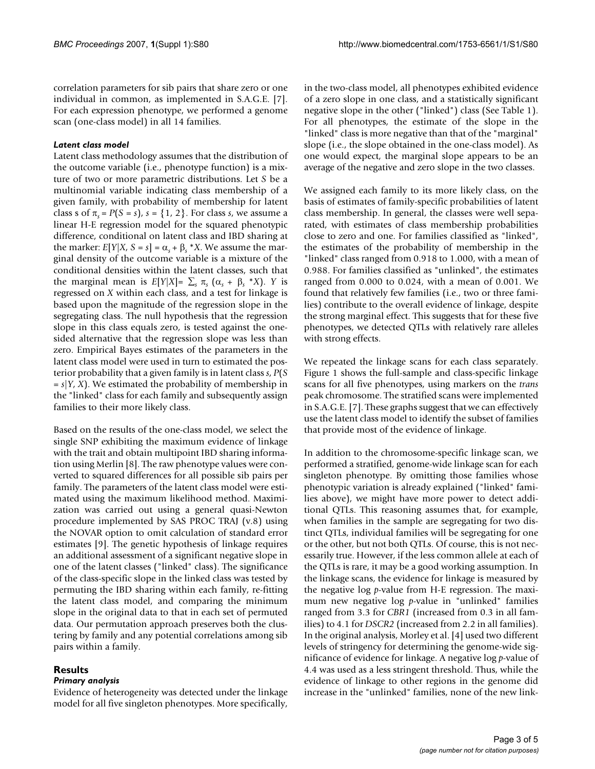correlation parameters for sib pairs that share zero or one individual in common, as implemented in S.A.G.E. [7]. For each expression phenotype, we performed a genome scan (one-class model) in all 14 families.

## *Latent class model*

Latent class methodology assumes that the distribution of the outcome variable (i.e., phenotype function) is a mixture of two or more parametric distributions. Let *S* be a multinomial variable indicating class membership of a given family, with probability of membership for latent class s of  $\pi_s$  =  $P(S = s)$ ,  $s = \{1, 2\}$ . For class *s*, we assume a linear H-E regression model for the squared phenotypic difference, conditional on latent class and IBD sharing at the marker:  $E[Y|X, S = s] = \alpha_s + \beta_s * X$ . We assume the marginal density of the outcome variable is a mixture of the conditional densities within the latent classes, such that the marginal mean is  $E[Y|X] = \sum_{s} \pi_s (\alpha_s + \beta_s * X)$ . *Y* is regressed on *X* within each class, and a test for linkage is based upon the magnitude of the regression slope in the segregating class. The null hypothesis that the regression slope in this class equals zero, is tested against the onesided alternative that the regression slope was less than zero. Empirical Bayes estimates of the parameters in the latent class model were used in turn to estimated the posterior probability that a given family is in latent class *s*, *P*(*S*  $= s|Y, X$ ). We estimated the probability of membership in the "linked" class for each family and subsequently assign families to their more likely class.

Based on the results of the one-class model, we select the single SNP exhibiting the maximum evidence of linkage with the trait and obtain multipoint IBD sharing information using Merlin [8]. The raw phenotype values were converted to squared differences for all possible sib pairs per family. The parameters of the latent class model were estimated using the maximum likelihood method. Maximization was carried out using a general quasi-Newton procedure implemented by SAS PROC TRAJ (v.8) using the NOVAR option to omit calculation of standard error estimates [9]. The genetic hypothesis of linkage requires an additional assessment of a significant negative slope in one of the latent classes ("linked" class). The significance of the class-specific slope in the linked class was tested by permuting the IBD sharing within each family, re-fitting the latent class model, and comparing the minimum slope in the original data to that in each set of permuted data. Our permutation approach preserves both the clustering by family and any potential correlations among sib pairs within a family.

# **Results**

#### *Primary analysis*

Evidence of heterogeneity was detected under the linkage model for all five singleton phenotypes. More specifically,

in the two-class model, all phenotypes exhibited evidence of a zero slope in one class, and a statistically significant negative slope in the other ("linked") class (See Table 1). For all phenotypes, the estimate of the slope in the "linked" class is more negative than that of the "marginal" slope (i.e., the slope obtained in the one-class model). As one would expect, the marginal slope appears to be an average of the negative and zero slope in the two classes.

We assigned each family to its more likely class, on the basis of estimates of family-specific probabilities of latent class membership. In general, the classes were well separated, with estimates of class membership probabilities close to zero and one. For families classified as "linked", the estimates of the probability of membership in the "linked" class ranged from 0.918 to 1.000, with a mean of 0.988. For families classified as "unlinked", the estimates ranged from 0.000 to 0.024, with a mean of 0.001. We found that relatively few families (i.e., two or three families) contribute to the overall evidence of linkage, despite the strong marginal effect. This suggests that for these five phenotypes, we detected QTLs with relatively rare alleles with strong effects.

We repeated the linkage scans for each class separately. Figure 1 shows the full-sample and class-specific linkage scans for all five phenotypes, using markers on the *trans* peak chromosome. The stratified scans were implemented in S.A.G.E. [7]. These graphs suggest that we can effectively use the latent class model to identify the subset of families that provide most of the evidence of linkage.

In addition to the chromosome-specific linkage scan, we performed a stratified, genome-wide linkage scan for each singleton phenotype. By omitting those families whose phenotypic variation is already explained ("linked" families above), we might have more power to detect additional QTLs. This reasoning assumes that, for example, when families in the sample are segregating for two distinct QTLs, individual families will be segregating for one or the other, but not both QTLs. Of course, this is not necessarily true. However, if the less common allele at each of the QTLs is rare, it may be a good working assumption. In the linkage scans, the evidence for linkage is measured by the negative log *p*-value from H-E regression. The maximum new negative log *p*-value in "unlinked" families ranged from 3.3 for *CBR1* (increased from 0.3 in all families) to 4.1 for *DSCR2* (increased from 2.2 in all families). In the original analysis, Morley et al. [4] used two different levels of stringency for determining the genome-wide significance of evidence for linkage. A negative log *p*-value of 4.4 was used as a less stringent threshold. Thus, while the evidence of linkage to other regions in the genome did increase in the "unlinked" families, none of the new link-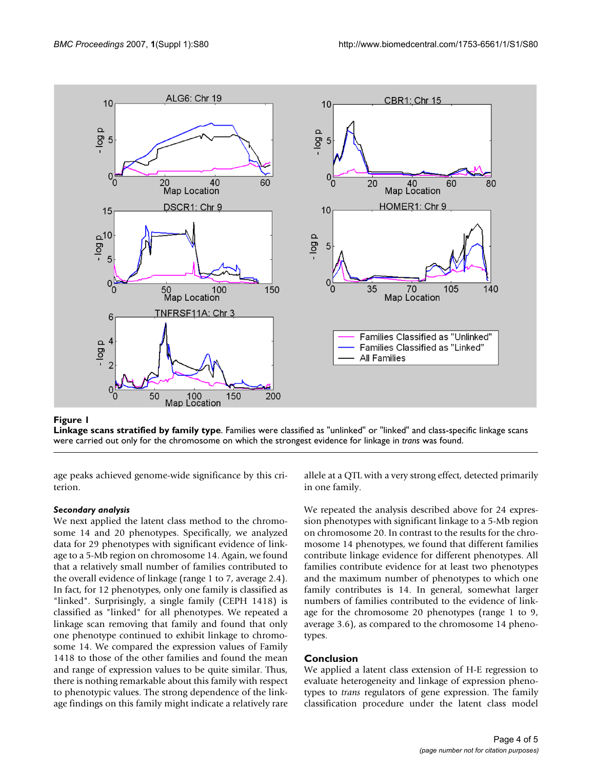

#### **Figure 1**

**Linkage scans stratified by family type**. Families were classified as "unlinked" or "linked" and class-specific linkage scans were carried out only for the chromosome on which the strongest evidence for linkage in *trans* was found.

age peaks achieved genome-wide significance by this criterion.

#### *Secondary analysis*

We next applied the latent class method to the chromosome 14 and 20 phenotypes. Specifically, we analyzed data for 29 phenotypes with significant evidence of linkage to a 5-Mb region on chromosome 14. Again, we found that a relatively small number of families contributed to the overall evidence of linkage (range 1 to 7, average 2.4). In fact, for 12 phenotypes, only one family is classified as "linked". Surprisingly, a single family (CEPH 1418) is classified as "linked" for all phenotypes. We repeated a linkage scan removing that family and found that only one phenotype continued to exhibit linkage to chromosome 14. We compared the expression values of Family 1418 to those of the other families and found the mean and range of expression values to be quite similar. Thus, there is nothing remarkable about this family with respect to phenotypic values. The strong dependence of the linkage findings on this family might indicate a relatively rare allele at a QTL with a very strong effect, detected primarily in one family.

We repeated the analysis described above for 24 expression phenotypes with significant linkage to a 5-Mb region on chromosome 20. In contrast to the results for the chromosome 14 phenotypes, we found that different families contribute linkage evidence for different phenotypes. All families contribute evidence for at least two phenotypes and the maximum number of phenotypes to which one family contributes is 14. In general, somewhat larger numbers of families contributed to the evidence of linkage for the chromosome 20 phenotypes (range 1 to 9, average 3.6), as compared to the chromosome 14 phenotypes.

#### **Conclusion**

We applied a latent class extension of H-E regression to evaluate heterogeneity and linkage of expression phenotypes to *trans* regulators of gene expression. The family classification procedure under the latent class model